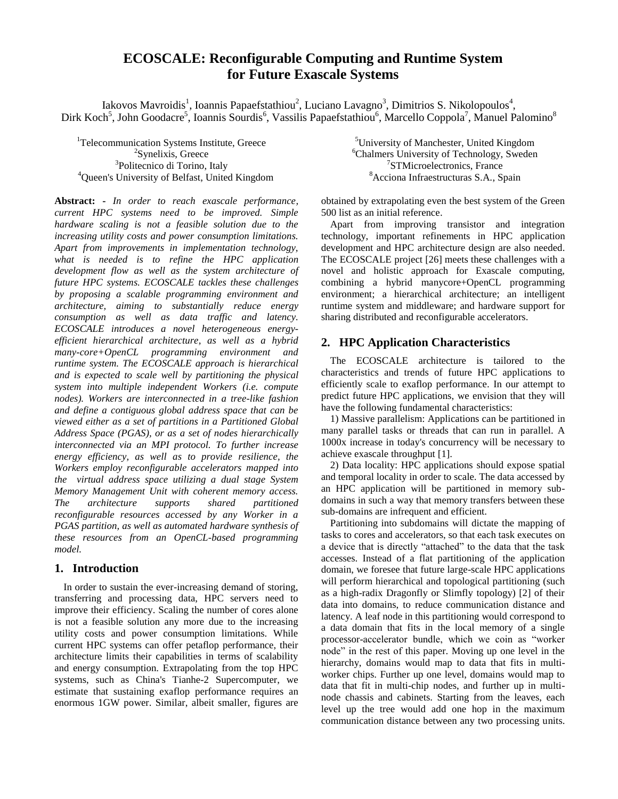# **ECOSCALE: Reconfigurable Computing and Runtime System for Future Exascale Systems**

Iakovos Mavroidis<sup>1</sup>, Ioannis Papaefstathiou<sup>2</sup>, Luciano Lavagno<sup>3</sup>, Dimitrios S. Nikolopoulos<sup>4</sup>, Dirk Koch<sup>5</sup>, John Goodacre<sup>5</sup>, Ioannis Sourdis<sup>6</sup>, Vassilis Papaefstathiou<sup>6</sup>, Marcello Coppola<sup>7</sup>, Manuel Palomino<sup>8</sup>

<sup>1</sup>Telecommunication Systems Institute, Greece <sup>2</sup>Synelixis, Greece 3 Politecnico di Torino, Italy <sup>4</sup>Queen's University of Belfast, United Kingdom

**Abstract: -** *In order to reach exascale performance, current HPC systems need to be improved. Simple hardware scaling is not a feasible solution due to the increasing utility costs and power consumption limitations. Apart from improvements in implementation technology, what is needed is to refine the HPC application development flow as well as the system architecture of future HPC systems. ECOSCALE tackles these challenges by proposing a scalable programming environment and architecture, aiming to substantially reduce energy consumption as well as data traffic and latency. ECOSCALE introduces a novel heterogeneous energyefficient hierarchical architecture, as well as a hybrid many-core+OpenCL programming environment and runtime system. The ECOSCALE approach is hierarchical and is expected to scale well by partitioning the physical system into multiple independent Workers (i.e. compute nodes). Workers are interconnected in a tree-like fashion and define a contiguous global address space that can be viewed either as a set of partitions in a Partitioned Global Address Space (PGAS), or as a set of nodes hierarchically interconnected via an MPI protocol. To further increase energy efficiency, as well as to provide resilience, the Workers employ reconfigurable accelerators mapped into the virtual address space utilizing a dual stage System Memory Management Unit with coherent memory access. The architecture supports shared partitioned reconfigurable resources accessed by any Worker in a PGAS partition, as well as automated hardware synthesis of these resources from an OpenCL-based programming model.*

## **1. Introduction**

In order to sustain the ever-increasing demand of storing, transferring and processing data, HPC servers need to improve their efficiency. Scaling the number of cores alone is not a feasible solution any more due to the increasing utility costs and power consumption limitations. While current HPC systems can offer petaflop performance, their architecture limits their capabilities in terms of scalability and energy consumption. Extrapolating from the top HPC systems, such as China's Tianhe-2 Supercomputer, we estimate that sustaining exaflop performance requires an enormous 1GW power. Similar, albeit smaller, figures are

University of Manchester, United Kingdom Chalmers University of Technology, Sweden STMicroelectronics, France Acciona Infraestructuras S.A., Spain

obtained by extrapolating even the best system of the Green 500 list as an initial reference.

Apart from improving transistor and integration technology, important refinements in HPC application development and HPC architecture design are also needed. The ECOSCALE project [26] meets these challenges with a novel and holistic approach for Exascale computing, combining a hybrid manycore+OpenCL programming environment; a hierarchical architecture; an intelligent runtime system and middleware; and hardware support for sharing distributed and reconfigurable accelerators.

## **2. HPC Application Characteristics**

The ECOSCALE architecture is tailored to the characteristics and trends of future HPC applications to efficiently scale to exaflop performance. In our attempt to predict future HPC applications, we envision that they will have the following fundamental characteristics:

1) Massive parallelism: Applications can be partitioned in many parallel tasks or threads that can run in parallel. A 1000x increase in today's concurrency will be necessary to achieve exascale throughput [1].

2) Data locality: HPC applications should expose spatial and temporal locality in order to scale. The data accessed by an HPC application will be partitioned in memory subdomains in such a way that memory transfers between these sub-domains are infrequent and efficient.

Partitioning into subdomains will dictate the mapping of tasks to cores and accelerators, so that each task executes on a device that is directly "attached" to the data that the task accesses. Instead of a flat partitioning of the application domain, we foresee that future large-scale HPC applications will perform hierarchical and topological partitioning (such as a high-radix Dragonfly or Slimfly topology) [2] of their data into domains, to reduce communication distance and latency. A leaf node in this partitioning would correspond to a data domain that fits in the local memory of a single processor-accelerator bundle, which we coin as "worker node" in the rest of this paper. Moving up one level in the hierarchy, domains would map to data that fits in multiworker chips. Further up one level, domains would map to data that fit in multi-chip nodes, and further up in multinode chassis and cabinets. Starting from the leaves, each level up the tree would add one hop in the maximum communication distance between any two processing units.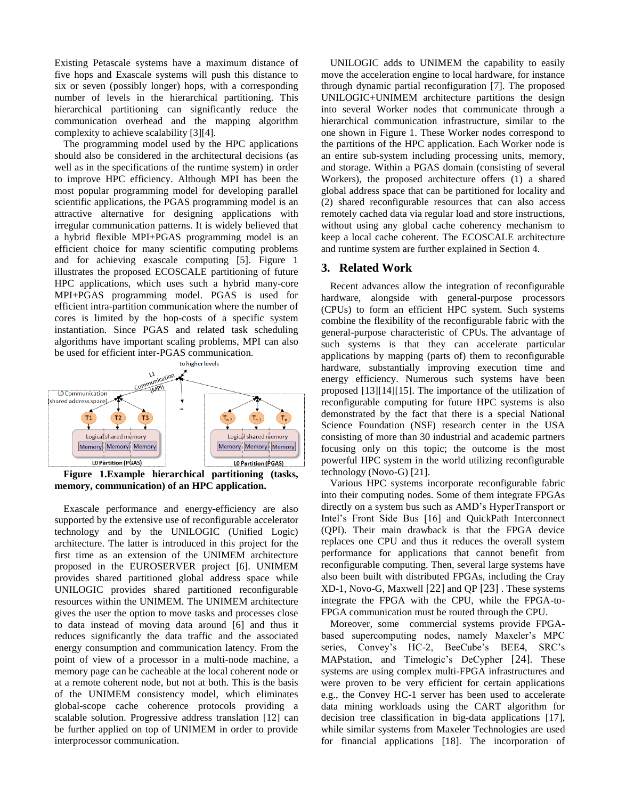Existing Petascale systems have a maximum distance of five hops and Exascale systems will push this distance to six or seven (possibly longer) hops, with a corresponding number of levels in the hierarchical partitioning. This hierarchical partitioning can significantly reduce the communication overhead and the mapping algorithm complexity to achieve scalability [3][4].

The programming model used by the HPC applications should also be considered in the architectural decisions (as well as in the specifications of the runtime system) in order to improve HPC efficiency. Although MPI has been the most popular programming model for developing parallel scientific applications, the PGAS programming model is an attractive alternative for designing applications with irregular communication patterns. It is widely believed that a hybrid flexible MPI+PGAS programming model is an efficient choice for many scientific computing problems and for achieving exascale computing [5]. Figure 1 illustrates the proposed ECOSCALE partitioning of future HPC applications, which uses such a hybrid many-core MPI+PGAS programming model. PGAS is used for efficient intra-partition communication where the number of cores is limited by the hop-costs of a specific system instantiation. Since PGAS and related task scheduling algorithms have important scaling problems, MPI can also be used for efficient inter-PGAS communication.



**Figure 1.Example hierarchical partitioning (tasks, memory, communication) of an HPC application.** 

Exascale performance and energy-efficiency are also supported by the extensive use of reconfigurable accelerator technology and by the UNILOGIC (Unified Logic) architecture. The latter is introduced in this project for the first time as an extension of the UNIMEM architecture proposed in the EUROSERVER project [6]. UNIMEM provides shared partitioned global address space while UNILOGIC provides shared partitioned reconfigurable resources within the UNIMEM. The UNIMEM architecture gives the user the option to move tasks and processes close to data instead of moving data around [6] and thus it reduces significantly the data traffic and the associated energy consumption and communication latency. From the point of view of a processor in a multi-node machine, a memory page can be cacheable at the local coherent node or at a remote coherent node, but not at both. This is the basis of the UNIMEM consistency model, which eliminates global-scope cache coherence protocols providing a scalable solution. Progressive address translation [12] can be further applied on top of UNIMEM in order to provide interprocessor communication.

UNILOGIC adds to UNIMEM the capability to easily move the acceleration engine to local hardware, for instance through dynamic partial reconfiguration [7]. The proposed UNILOGIC+UNIMEM architecture partitions the design into several Worker nodes that communicate through a hierarchical communication infrastructure, similar to the one shown in Figure 1. These Worker nodes correspond to the partitions of the HPC application. Each Worker node is an entire sub-system including processing units, memory, and storage. Within a PGAS domain (consisting of several Workers), the proposed architecture offers (1) a shared global address space that can be partitioned for locality and (2) shared reconfigurable resources that can also access remotely cached data via regular load and store instructions, without using any global cache coherency mechanism to keep a local cache coherent. The ECOSCALE architecture and runtime system are further explained in Section [4.](#page-2-0)

## **3. Related Work**

Recent advances allow the integration of reconfigurable hardware, alongside with general-purpose processors (CPUs) to form an efficient HPC system. Such systems combine the flexibility of the reconfigurable fabric with the general-purpose characteristic of CPUs. The advantage of such systems is that they can accelerate particular applications by mapping (parts of) them to reconfigurable hardware, substantially improving execution time and energy efficiency. Numerous such systems have been proposed [13][14][15]. The importance of the utilization of reconfigurable computing for future HPC systems is also demonstrated by the fact that there is a special National Science Foundation (NSF) research center in the USA consisting of more than 30 industrial and academic partners focusing only on this topic; the outcome is the most powerful HPC system in the world utilizing reconfigurable technology (Novo-G) [21].

Various HPC systems incorporate reconfigurable fabric into their computing nodes. Some of them integrate FPGAs directly on a system bus such as AMD's HyperTransport or Intel's Front Side Bus [16] and QuickPath Interconnect (QPI). Their main drawback is that the FPGA device replaces one CPU and thus it reduces the overall system performance for applications that cannot benefit from reconfigurable computing. Then, several large systems have also been built with distributed FPGAs, including the Cray XD-1, Novo-G, Maxwell [22] and QP [23] . These systems integrate the FPGA with the CPU, while the FPGA-to-FPGA communication must be routed through the CPU.

Moreover, some commercial systems provide FPGAbased supercomputing nodes, namely Maxeler's MPC series, Convey's HC-2, BeeCube's BEE4, SRC's MAPstation, and Timelogic's DeCypher [24]. These systems are using complex multi-FPGA infrastructures and were proven to be very efficient for certain applications e.g., the Convey HC-1 server has been used to accelerate data mining workloads using the CART algorithm for decision tree classification in big-data applications [17], while similar systems from Maxeler Technologies are used for financial applications [18]. The incorporation of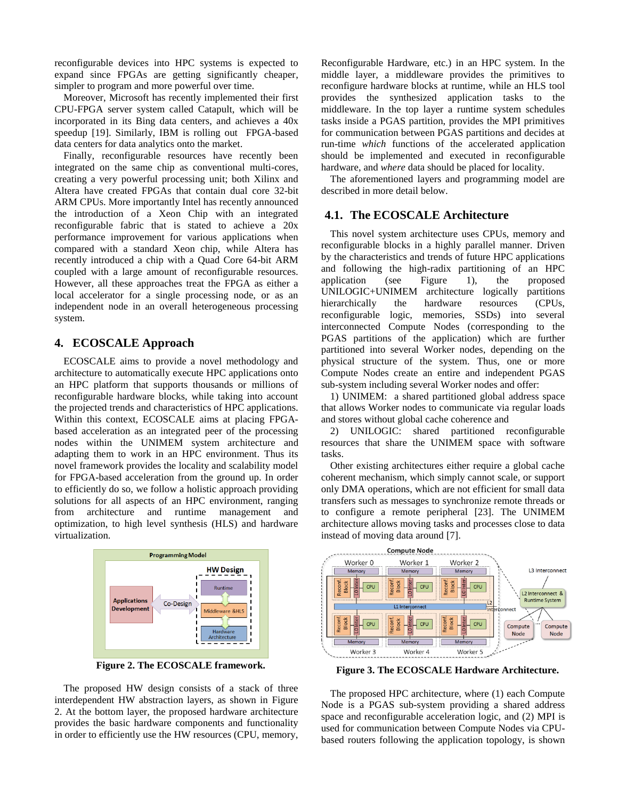reconfigurable devices into HPC systems is expected to expand since FPGAs are getting significantly cheaper, simpler to program and more powerful over time.

Moreover, Microsoft has recently implemented their first CPU-FPGA server system called Catapult, which will be incorporated in its Bing data centers, and achieves a 40x speedup [19]. Similarly, IBM is rolling out FPGA-based data centers for data analytics onto the market.

Finally, reconfigurable resources have recently been integrated on the same chip as conventional multi-cores, creating a very powerful processing unit; both Xilinx and Altera have created FPGAs that contain dual core 32-bit ARM CPUs. More importantly Intel has recently announced the introduction of a Xeon Chip with an integrated reconfigurable fabric that is stated to achieve a 20x performance improvement for various applications when compared with a standard Xeon chip, while Altera has recently introduced a chip with a Quad Core 64-bit ARM coupled with a large amount of reconfigurable resources. However, all these approaches treat the FPGA as either a local accelerator for a single processing node, or as an independent node in an overall heterogeneous processing system.

## <span id="page-2-0"></span>**4. ECOSCALE Approach**

ECOSCALE aims to provide a novel methodology and architecture to automatically execute HPC applications onto an HPC platform that supports thousands or millions of reconfigurable hardware blocks, while taking into account the projected trends and characteristics of HPC applications. Within this context, ECOSCALE aims at placing FPGAbased acceleration as an integrated peer of the processing nodes within the UNIMEM system architecture and adapting them to work in an HPC environment. Thus its novel framework provides the locality and scalability model for FPGA-based acceleration from the ground up. In order to efficiently do so, we follow a holistic approach providing solutions for all aspects of an HPC environment, ranging from architecture and runtime management and optimization, to high level synthesis (HLS) and hardware virtualization.



**Figure 2. The ECOSCALE framework.**

The proposed HW design consists of a stack of three interdependent HW abstraction layers, as shown in Figure 2. At the bottom layer, the proposed hardware architecture provides the basic hardware components and functionality in order to efficiently use the HW resources (CPU, memory, Reconfigurable Hardware, etc.) in an HPC system. In the middle layer, a middleware provides the primitives to reconfigure hardware blocks at runtime, while an HLS tool provides the synthesized application tasks to the middleware. In the top layer a runtime system schedules tasks inside a PGAS partition, provides the MPI primitives for communication between PGAS partitions and decides at run-time *which* functions of the accelerated application should be implemented and executed in reconfigurable hardware, and *where* data should be placed for locality.

The aforementioned layers and programming model are described in more detail below.

## **4.1. The ECOSCALE Architecture**

This novel system architecture uses CPUs, memory and reconfigurable blocks in a highly parallel manner. Driven by the characteristics and trends of future HPC applications and following the high-radix partitioning of an HPC application (see Figure 1), the proposed UNILOGIC+UNIMEM architecture logically partitions hierarchically the hardware resources (CPUs, reconfigurable logic, memories, SSDs) into several interconnected Compute Nodes (corresponding to the PGAS partitions of the application) which are further partitioned into several Worker nodes, depending on the physical structure of the system. Thus, one or more Compute Nodes create an entire and independent PGAS sub-system including several Worker nodes and offer:

1) UNIMEM: a shared partitioned global address space that allows Worker nodes to communicate via regular loads and stores without global cache coherence and

2) UNILOGIC: shared partitioned reconfigurable resources that share the UNIMEM space with software tasks.

Other existing architectures either require a global cache coherent mechanism, which simply cannot scale, or support only DMA operations, which are not efficient for small data transfers such as messages to synchronize remote threads or to configure a remote peripheral [23]. The UNIMEM architecture allows moving tasks and processes close to data instead of moving data around [7].



<span id="page-2-1"></span>**Figure 3. The ECOSCALE Hardware Architecture.** 

The proposed HPC architecture, where (1) each Compute Node is a PGAS sub-system providing a shared address space and reconfigurable acceleration logic, and (2) MPI is used for communication between Compute Nodes via CPUbased routers following the application topology, is shown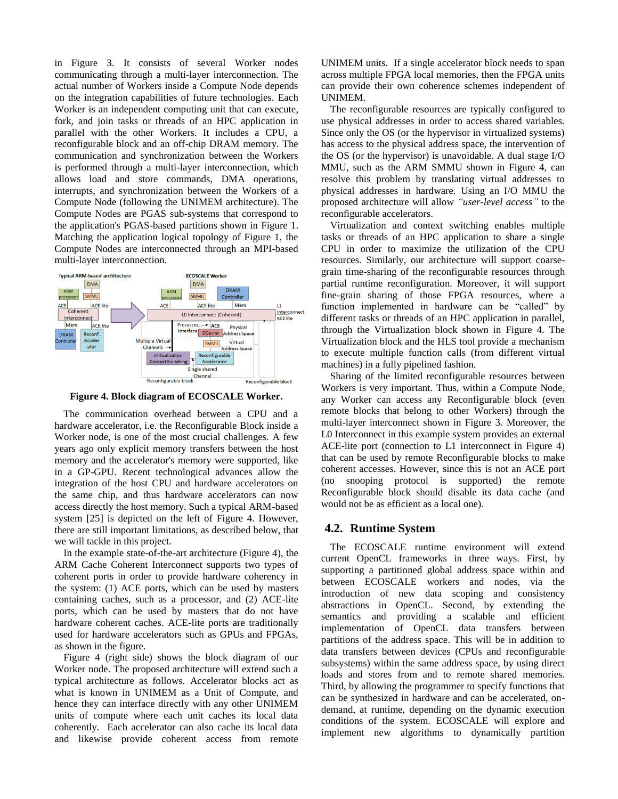in [Figure 3.](#page-2-1) It consists of several Worker nodes communicating through a multi-layer interconnection. The actual number of Workers inside a Compute Node depends on the integration capabilities of future technologies. Each Worker is an independent computing unit that can execute, fork, and join tasks or threads of an HPC application in parallel with the other Workers. It includes a CPU, a reconfigurable block and an off-chip DRAM memory. The communication and synchronization between the Workers is performed through a multi-layer interconnection, which allows load and store commands, DMA operations, interrupts, and synchronization between the Workers of a Compute Node (following the UNIMEM architecture). The Compute Nodes are PGAS sub-systems that correspond to the application's PGAS-based partitions shown in Figure 1. Matching the application logical topology of Figure 1, the Compute Nodes are interconnected through an MPI-based multi-layer interconnection.



<span id="page-3-0"></span>**Figure 4. Block diagram of ECOSCALE Worker.**

The communication overhead between a CPU and a hardware accelerator, i.e. the Reconfigurable Block inside a Worker node, is one of the most crucial challenges. A few years ago only explicit memory transfers between the host memory and the accelerator's memory were supported, like in a GP-GPU. Recent technological advances allow the integration of the host CPU and hardware accelerators on the same chip, and thus hardware accelerators can now access directly the host memory. Such a typical ARM-based system [25] is depicted on the left of [Figure 4.](#page-3-0) However, there are still important limitations, as described below, that we will tackle in this project.

In the example state-of-the-art architecture [\(Figure 4\)](#page-3-0), the ARM Cache Coherent Interconnect supports two types of coherent ports in order to provide hardware coherency in the system: (1) ACE ports, which can be used by masters containing caches, such as a processor, and (2) ACE-lite ports, which can be used by masters that do not have hardware coherent caches. ACE-lite ports are traditionally used for hardware accelerators such as GPUs and FPGAs, as shown in the figure.

[Figure 4](#page-3-0) (right side) shows the block diagram of our Worker node. The proposed architecture will extend such a typical architecture as follows. Accelerator blocks act as what is known in UNIMEM as a Unit of Compute, and hence they can interface directly with any other UNIMEM units of compute where each unit caches its local data coherently. Each accelerator can also cache its local data and likewise provide coherent access from remote UNIMEM units. If a single accelerator block needs to span across multiple FPGA local memories, then the FPGA units can provide their own coherence schemes independent of UNIMEM.

The reconfigurable resources are typically configured to use physical addresses in order to access shared variables. Since only the OS (or the hypervisor in virtualized systems) has access to the physical address space, the intervention of the OS (or the hypervisor) is unavoidable. A dual stage I/O MMU, such as the ARM SMMU shown in Figure 4, can resolve this problem by translating virtual addresses to physical addresses in hardware. Using an I/O MMU the proposed architecture will allow *"user-level access"* to the reconfigurable accelerators.

Virtualization and context switching enables multiple tasks or threads of an HPC application to share a single CPU in order to maximize the utilization of the CPU resources. Similarly, our architecture will support coarsegrain time-sharing of the reconfigurable resources through partial runtime reconfiguration. Moreover, it will support fine-grain sharing of those FPGA resources, where a function implemented in hardware can be "called" by different tasks or threads of an HPC application in parallel, through the Virtualization block shown in Figure 4. The Virtualization block and the HLS tool provide a mechanism to execute multiple function calls (from different virtual machines) in a fully pipelined fashion.

Sharing of the limited reconfigurable resources between Workers is very important. Thus, within a Compute Node, any Worker can access any Reconfigurable block (even remote blocks that belong to other Workers) through the multi-layer interconnect shown in [Figure 3.](#page-2-1) Moreover, the L0 Interconnect in this example system provides an external ACE-lite port (connection to L1 interconnect in Figure 4) that can be used by remote Reconfigurable blocks to make coherent accesses. However, since this is not an ACE port (no snooping protocol is supported) the remote Reconfigurable block should disable its data cache (and would not be as efficient as a local one).

## **4.2. Runtime System**

The ECOSCALE runtime environment will extend current OpenCL frameworks in three ways. First, by supporting a partitioned global address space within and between ECOSCALE workers and nodes, via the introduction of new data scoping and consistency abstractions in OpenCL. Second, by extending the semantics and providing a scalable and efficient implementation of OpenCL data transfers between partitions of the address space. This will be in addition to data transfers between devices (CPUs and reconfigurable subsystems) within the same address space, by using direct loads and stores from and to remote shared memories. Third, by allowing the programmer to specify functions that can be synthesized in hardware and can be accelerated, ondemand, at runtime, depending on the dynamic execution conditions of the system. ECOSCALE will explore and implement new algorithms to dynamically partition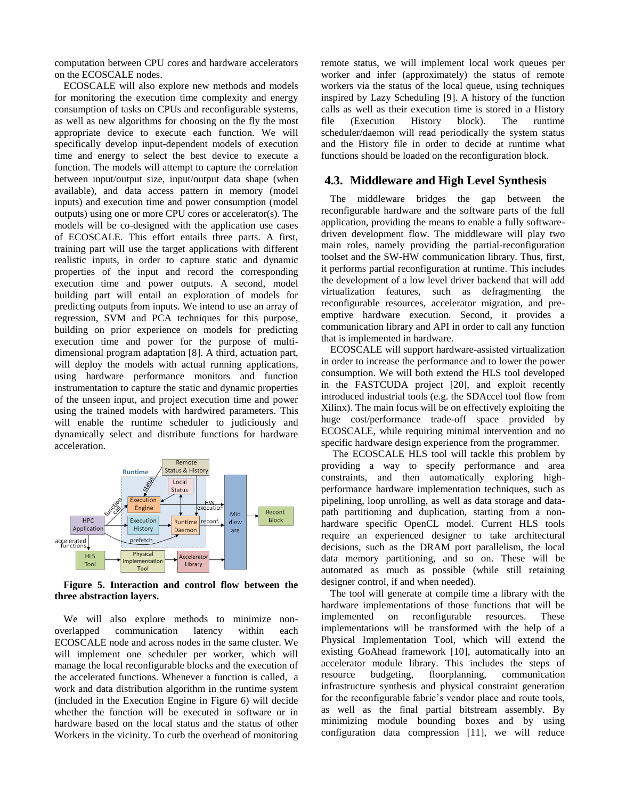computation between CPU cores and hardware accelerators on the ECOSCALE nodes.

ECOSCALE will also explore new methods and models for monitoring the execution time complexity and energy consumption of tasks on CPUs and reconfigurable systems, as well as new algorithms for choosing on the fly the most appropriate device to execute each function. We will specifically develop input-dependent models of execution time and energy to select the best device to execute a function. The models will attempt to capture the correlation between input/output size, input/output data shape (when available), and data access pattern in memory (model inputs) and execution time and power consumption (model outputs) using one or more CPU cores or accelerator(s). The models will be co-designed with the application use cases of ECOSCALE. This effort entails three parts. A first, training part will use the target applications with different realistic inputs, in order to capture static and dynamic properties of the input and record the corresponding execution time and power outputs. A second, model building part will entail an exploration of models for predicting outputs from inputs. We intend to use an array of regression, SVM and PCA techniques for this purpose, building on prior experience on models for predicting execution time and power for the purpose of multidimensional program adaptation [8]. A third, actuation part, will deploy the models with actual running applications, using hardware performance monitors and function instrumentation to capture the static and dynamic properties of the unseen input, and project execution time and power using the trained models with hardwired parameters. This will enable the runtime scheduler to judiciously and dynamically select and distribute functions for hardware acceleration.



**Figure 5. Interaction and control flow between the three abstraction layers.**

We will also explore methods to minimize nonoverlapped communication latency within each ECOSCALE node and across nodes in the same cluster. We will implement one scheduler per worker, which will manage the local reconfigurable blocks and the execution of the accelerated functions. Whenever a function is called, a work and data distribution algorithm in the runtime system (included in the Execution Engine in Figure 6) will decide whether the function will be executed in software or in hardware based on the local status and the status of other Workers in the vicinity. To curb the overhead of monitoring remote status, we will implement local work queues per worker and infer (approximately) the status of remote workers via the status of the local queue, using techniques inspired by Lazy Scheduling [9]. A history of the function calls as well as their execution time is stored in a History file (Execution History block). The runtime scheduler/daemon will read periodically the system status and the History file in order to decide at runtime what functions should be loaded on the reconfiguration block.

### **4.3. Middleware and High Level Synthesis**

The middleware bridges the gap between the reconfigurable hardware and the software parts of the full application, providing the means to enable a fully softwaredriven development flow. The middleware will play two main roles, namely providing the partial-reconfiguration toolset and the SW-HW communication library. Thus, first, it performs partial reconfiguration at runtime. This includes the development of a low level driver backend that will add virtualization features, such as defragmenting the reconfigurable resources, accelerator migration, and preemptive hardware execution. Second, it provides a communication library and API in order to call any function that is implemented in hardware.

ECOSCALE will support hardware-assisted virtualization in order to increase the performance and to lower the power consumption. We will both extend the HLS tool developed in the FASTCUDA project [20], and exploit recently introduced industrial tools (e.g. the SDAccel tool flow from Xilinx). The main focus will be on effectively exploiting the huge cost/performance trade-off space provided by ECOSCALE, while requiring minimal intervention and no specific hardware design experience from the programmer.

The ECOSCALE HLS tool will tackle this problem by providing a way to specify performance and area constraints, and then automatically exploring highperformance hardware implementation techniques, such as pipelining, loop unrolling, as well as data storage and datapath partitioning and duplication, starting from a nonhardware specific OpenCL model. Current HLS tools require an experienced designer to take architectural decisions, such as the DRAM port parallelism, the local data memory partitioning, and so on. These will be automated as much as possible (while still retaining designer control, if and when needed).

The tool will generate at compile time a library with the hardware implementations of those functions that will be implemented on reconfigurable resources. These implementations will be transformed with the help of a Physical Implementation Tool, which will extend the existing GoAhead framework [10], automatically into an accelerator module library. This includes the steps of resource budgeting, floorplanning, communication infrastructure synthesis and physical constraint generation for the reconfigurable fabric's vendor place and route tools, as well as the final partial bitstream assembly. By minimizing module bounding boxes and by using configuration data compression [11], we will reduce